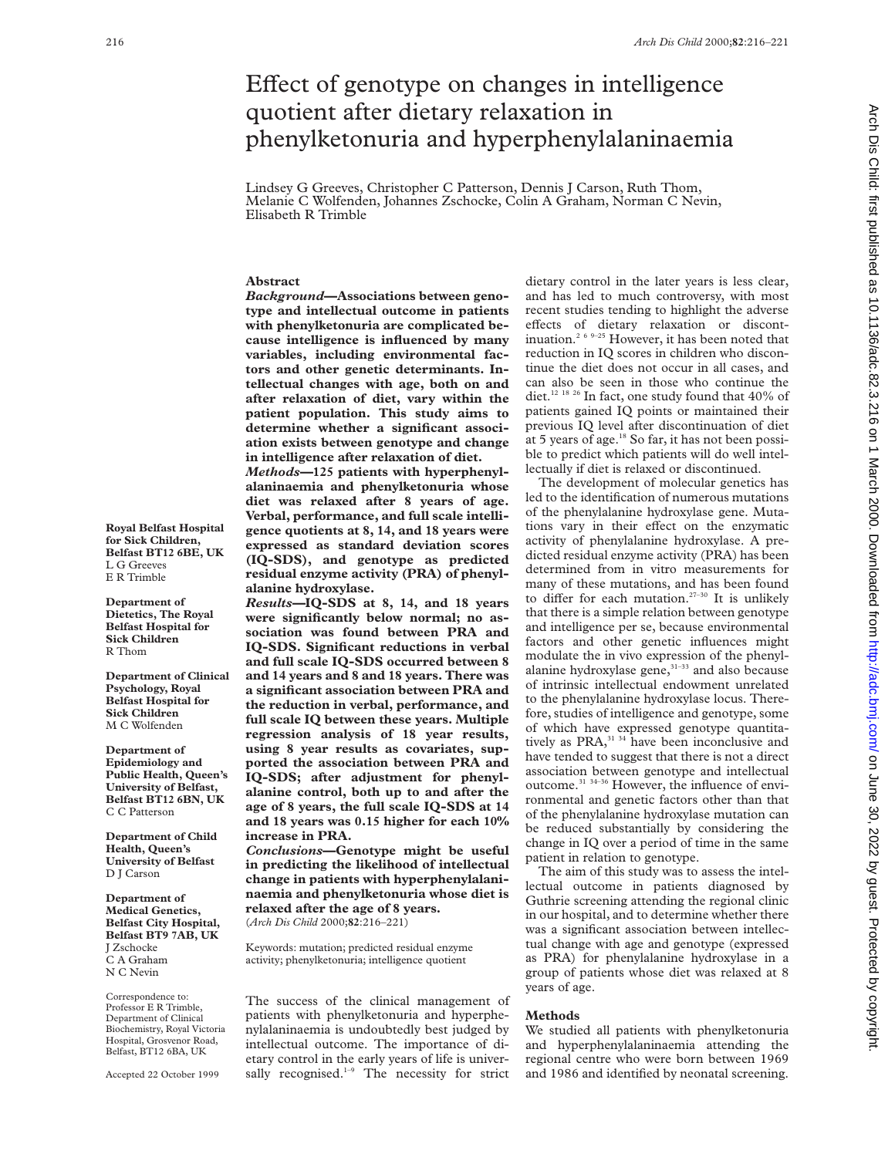# Effect of genotype on changes in intelligence quotient after dietary relaxation in phenylketonuria and hyperphenylalaninaemia

Lindsey G Greeves, Christopher C Patterson, Dennis J Carson, Ruth Thom, Melanie C Wolfenden, Johannes Zschocke, Colin A Graham, Norman C Nevin, Elisabeth R Trimble

## **Abstract**

*Background—***Associations between genotype and intellectual outcome in patients with phenylketonuria are complicated because intelligence is influenced by many variables, including environmental factors and other genetic determinants. Intellectual changes with age, both on and after relaxation of diet, vary within the patient population. This study aims to determine whether a significant association exists between genotype and change in intelligence after relaxation of diet.** *Methods—***125 patients with hyperphenyl-**

**alaninaemia and phenylketonuria whose diet was relaxed after 8 years of age. Verbal, performance, and full scale intelligence quotients at 8, 14, and 18 years were expressed as standard deviation scores (IQ-SDS), and genotype as predicted residual enzyme activity (PRA) of phenylalanine hydroxylase.**

*Results—***IQ-SDS at 8, 14, and 18 years were significantly below normal; no association was found between PRA and IQ-SDS. Significant reductions in verbal and full scale IQ-SDS occurred between 8 and 14 years and 8 and 18 years. There was a significant association between PRA and the reduction in verbal, performance, and full scale IQ between these years. Multiple regression analysis of 18 year results, using 8 year results as covariates, supported the association between PRA and IQ-SDS; after adjustment for phenylalanine control, both up to and after the age of 8 years, the full scale IQ-SDS at 14 and 18 years was 0.15 higher for each 10% increase in PRA.**

*Conclusions***—Genotype might be useful in predicting the likelihood of intellectual change in patients with hyperphenylalaninaemia and phenylketonuria whose diet is relaxed after the age of 8 years.** (*Arch Dis Child* 2000;**82**:216–221)

Keywords: mutation; predicted residual enzyme activity; phenylketonuria; intelligence quotient

The success of the clinical management of patients with phenylketonuria and hyperphenylalaninaemia is undoubtedly best judged by intellectual outcome. The importance of dietary control in the early years of life is universally recognised. $1-9$  The necessity for strict

dietary control in the later years is less clear, and has led to much controversy, with most recent studies tending to highlight the adverse effects of dietary relaxation or discontinuation.2 6 9–25 However, it has been noted that reduction in IQ scores in children who discontinue the diet does not occur in all cases, and can also be seen in those who continue the diet.<sup>12 18 26</sup> In fact, one study found that 40% of patients gained IQ points or maintained their previous IQ level after discontinuation of diet at 5 years of age.<sup>18</sup> So far, it has not been possible to predict which patients will do well intellectually if diet is relaxed or discontinued.

The development of molecular genetics has led to the identification of numerous mutations of the phenylalanine hydroxylase gene. Mutations vary in their effect on the enzymatic activity of phenylalanine hydroxylase. A predicted residual enzyme activity (PRA) has been determined from in vitro measurements for many of these mutations, and has been found to differ for each mutation.<sup>27-30</sup> It is unlikely that there is a simple relation between genotype and intelligence per se, because environmental factors and other genetic influences might modulate the in vivo expression of the phenylalanine hydroxylase gene, $31-33$  and also because of intrinsic intellectual endowment unrelated to the phenylalanine hydroxylase locus. Therefore, studies of intelligence and genotype, some of which have expressed genotype quantitatively as PRA,<sup>31 34</sup> have been inconclusive and have tended to suggest that there is not a direct association between genotype and intellectual outcome.<sup>31 34-36</sup> However, the influence of environmental and genetic factors other than that of the phenylalanine hydroxylase mutation can be reduced substantially by considering the change in IQ over a period of time in the same patient in relation to genotype.

The aim of this study was to assess the intellectual outcome in patients diagnosed by Guthrie screening attending the regional clinic in our hospital, and to determine whether there was a significant association between intellectual change with age and genotype (expressed as PRA) for phenylalanine hydroxylase in a group of patients whose diet was relaxed at 8 years of age.

#### **Methods**

We studied all patients with phenylketonuria and hyperphenylalaninaemia attending the regional centre who were born between 1969 and 1986 and identified by neonatal screening.

**Royal Belfast Hospital for Sick Children, Belfast BT12 6BE, UK** L G Greeves E R Trimble

**Department of Dietetics, The Royal Belfast Hospital for Sick Children** R Thom

**Department of Clinical Psychology, Royal Belfast Hospital for Sick Children** M C Wolfenden

**Department of Epidemiology and Public Health, Queen's University of Belfast, Belfast BT12 6BN, UK** C C Patterson

**Department of Child Health, Queen's University of Belfast** D I Carson

**Department of Medical Genetics, Belfast City Hospital, Belfast BT9 7AB, UK** J Zschocke C A Graham N C Nevin

Correspondence to: Professor E R Trimble, Department of Clinical Biochemistry, Royal Victoria Hospital, Grosvenor Road, Belfast, BT12 6BA, UK

Accepted 22 October 1999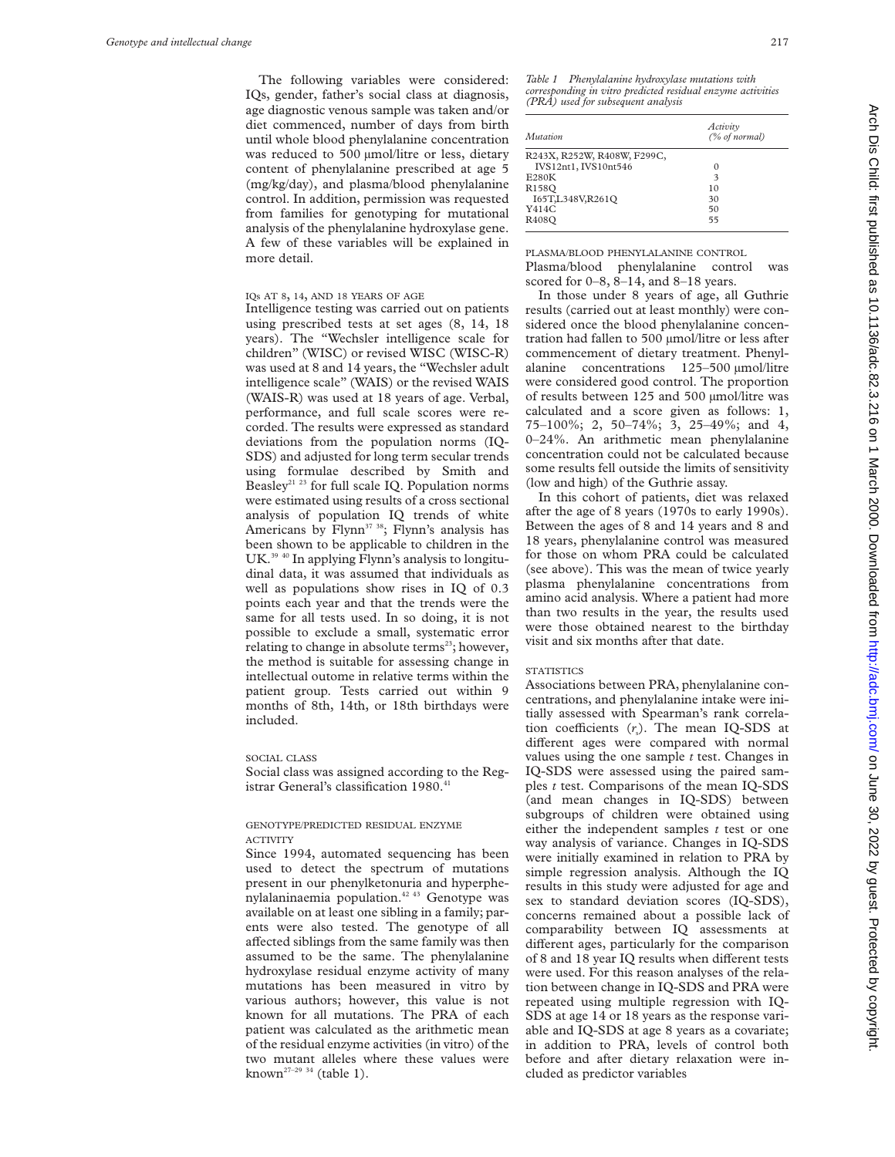The following variables were considered: IQs, gender, father's social class at diagnosis, age diagnostic venous sample was taken and/or diet commenced, number of days from birth until whole blood phenylalanine concentration was reduced to 500 µmol/litre or less, dietary content of phenylalanine prescribed at age 5 (mg/kg/day), and plasma/blood phenylalanine control. In addition, permission was requested from families for genotyping for mutational analysis of the phenylalanine hydroxylase gene. A few of these variables will be explained in more detail.

## IQs AT 8, 14, AND 18 YEARS OF AGE

Intelligence testing was carried out on patients using prescribed tests at set ages (8, 14, 18 years). The "Wechsler intelligence scale for children" (WISC) or revised WISC (WISC-R) was used at 8 and 14 years, the "Wechsler adult intelligence scale" (WAIS) or the revised WAIS (WAIS-R) was used at 18 years of age. Verbal, performance, and full scale scores were recorded. The results were expressed as standard deviations from the population norms (IQ-SDS) and adjusted for long term secular trends using formulae described by Smith and Beasley<sup>21, 23</sup> for full scale IQ. Population norms were estimated using results of a cross sectional analysis of population IQ trends of white Americans by  $\text{Flynn}^{37,38}$ ;  $\text{Flynn's}$  analysis has been shown to be applicable to children in the UK.<sup>39 40</sup> In applying Flynn's analysis to longitudinal data, it was assumed that individuals as well as populations show rises in IQ of 0.3 points each year and that the trends were the same for all tests used. In so doing, it is not possible to exclude a small, systematic error relating to change in absolute terms<sup>23</sup>; however, the method is suitable for assessing change in intellectual outome in relative terms within the patient group. Tests carried out within 9 months of 8th, 14th, or 18th birthdays were included.

#### SOCIAL CLASS

Social class was assigned according to the Registrar General's classification 1980.<sup>4</sup>

## GENOTYPE/PREDICTED RESIDUAL ENZYME ACTIVITY

Since 1994, automated sequencing has been used to detect the spectrum of mutations present in our phenylketonuria and hyperphenylalaninaemia population.<sup>42 43</sup> Genotype was available on at least one sibling in a family; parents were also tested. The genotype of all affected siblings from the same family was then assumed to be the same. The phenylalanine hydroxylase residual enzyme activity of many mutations has been measured in vitro by various authors; however, this value is not known for all mutations. The PRA of each patient was calculated as the arithmetic mean of the residual enzyme activities (in vitro) of the two mutant alleles where these values were known<sup>27-29</sup> <sup>34</sup> (table 1).

*Table 1 Phenylalanine hydroxylase mutations with corresponding in vitro predicted residual enzyme activities (PRA) used for subsequent analysis*

| <i>Mutation</i>             | Activity<br>(% of normal) |
|-----------------------------|---------------------------|
| R243X, R252W, R408W, F299C, |                           |
| IVS12nt1, IVS10nt546        | 0                         |
| <b>E280K</b>                | 3                         |
| R <sub>158</sub> O          | 10                        |
| I65T,L348V,R261Q            | 30                        |
| Y414C                       | 50                        |
| R <sub>408</sub> O          | 55                        |

PLASMA/BLOOD PHENYLALANINE CONTROL Plasma/blood phenylalanine control was scored for 0–8, 8–14, and 8–18 years.

In those under 8 years of age, all Guthrie results (carried out at least monthly) were considered once the blood phenylalanine concentration had fallen to 500 µmol/litre or less after commencement of dietary treatment. Phenylalanine concentrations 125–500 µmol/litre were considered good control. The proportion of results between 125 and 500 µmol/litre was calculated and a score given as follows: 1, 75–100%; 2, 50–74%; 3, 25–49%; and 4, 0–24%. An arithmetic mean phenylalanine concentration could not be calculated because some results fell outside the limits of sensitivity (low and high) of the Guthrie assay.

In this cohort of patients, diet was relaxed after the age of 8 years (1970s to early 1990s). Between the ages of 8 and 14 years and 8 and 18 years, phenylalanine control was measured for those on whom PRA could be calculated (see above). This was the mean of twice yearly plasma phenylalanine concentrations from amino acid analysis. Where a patient had more than two results in the year, the results used were those obtained nearest to the birthday visit and six months after that date.

#### **STATISTICS**

Associations between PRA, phenylalanine concentrations, and phenylalanine intake were initially assessed with Spearman's rank correlation coefficients  $(r<sub>s</sub>)$ . The mean IQ-SDS at different ages were compared with normal values using the one sample *t* test. Changes in IQ-SDS were assessed using the paired samples *t* test. Comparisons of the mean IQ-SDS (and mean changes in IQ-SDS) between subgroups of children were obtained using either the independent samples *t* test or one way analysis of variance. Changes in IQ-SDS were initially examined in relation to PRA by simple regression analysis. Although the IQ results in this study were adjusted for age and sex to standard deviation scores (IQ-SDS), concerns remained about a possible lack of comparability between IQ assessments at different ages, particularly for the comparison of 8 and 18 year IQ results when different tests were used. For this reason analyses of the relation between change in IQ-SDS and PRA were repeated using multiple regression with IQ-SDS at age 14 or 18 years as the response variable and IQ-SDS at age 8 years as a covariate; in addition to PRA, levels of control both before and after dietary relaxation were included as predictor variables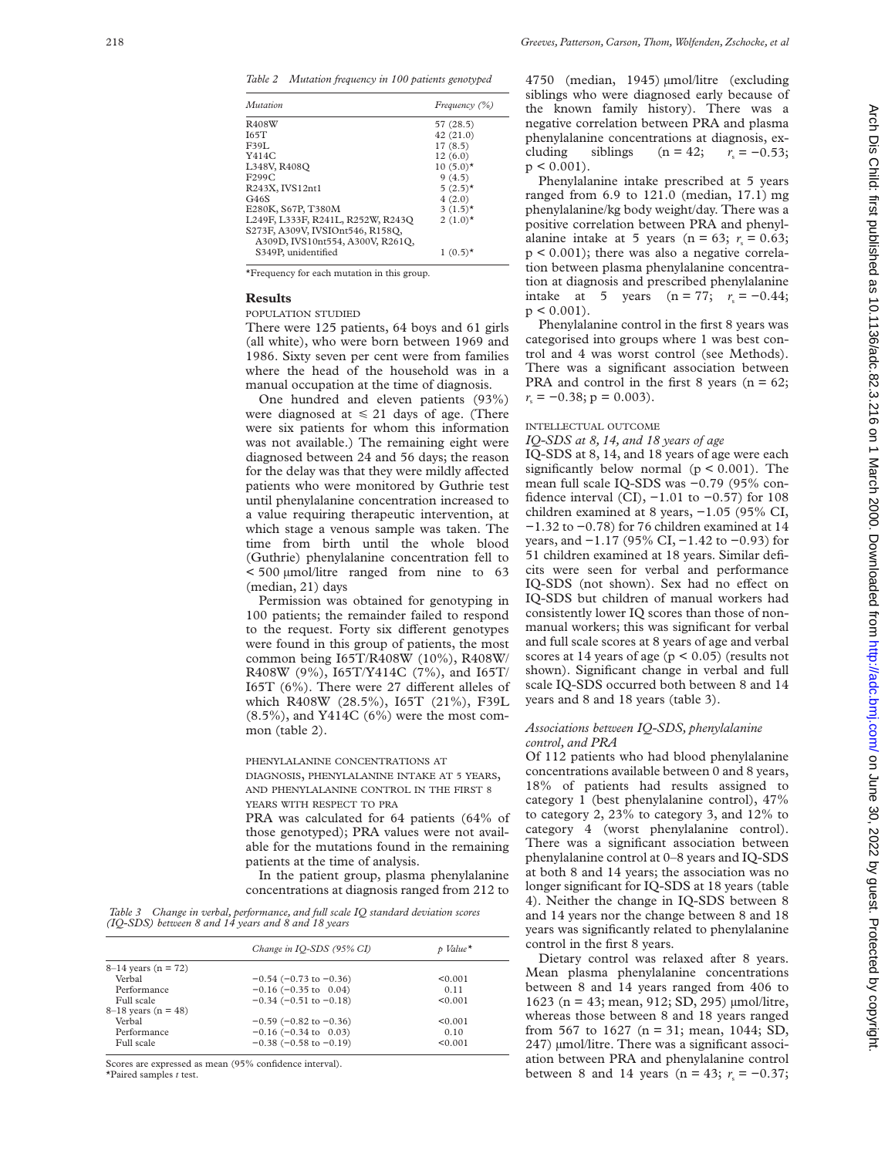*Table 2 Mutation frequency in 100 patients genotyped*

| Mutation                                                             | Frequency $(\% )$      |
|----------------------------------------------------------------------|------------------------|
| R408W                                                                | 57 (28.5)              |
| I65T                                                                 | 42(21.0)               |
| F39I.                                                                | 17(8.5)                |
| Y414C                                                                | 12(6.0)                |
| L348V, R408Q                                                         | $10(5.0)*$             |
| F299C                                                                | 9(4.5)                 |
| R243X, IVS12nt1                                                      | $5(2.5)$ *             |
| G46S                                                                 | 4(2.0)                 |
| E280K, S67P, T380M                                                   | $3(1.5)^*$             |
| L249F, L333F, R241L, R252W, R243Q                                    | 2 $(1.0)$ <sup>*</sup> |
| S273F, A309V, IVSIOnt546, R158O,<br>A309D, IVS10nt554, A300V, R261Q, |                        |
| S349P, unidentified                                                  | $1(0.5)^*$             |

\*Frequency for each mutation in this group.

#### **Results**

POPULATION STUDIED

There were 125 patients, 64 boys and 61 girls (all white), who were born between 1969 and 1986. Sixty seven per cent were from families where the head of the household was in a manual occupation at the time of diagnosis.

One hundred and eleven patients (93%) were diagnosed at  $\leq 21$  days of age. (There were six patients for whom this information was not available.) The remaining eight were diagnosed between 24 and 56 days; the reason for the delay was that they were mildly affected patients who were monitored by Guthrie test until phenylalanine concentration increased to a value requiring therapeutic intervention, at which stage a venous sample was taken. The time from birth until the whole blood (Guthrie) phenylalanine concentration fell to < 500 µmol/litre ranged from nine to 63 (median, 21) days

Permission was obtained for genotyping in 100 patients; the remainder failed to respond to the request. Forty six different genotypes were found in this group of patients, the most common being I65T/R408W (10%), R408W/ R408W (9%), I65T/Y414C (7%), and I65T/ I65T (6%). There were 27 different alleles of which R408W (28.5%), I65T (21%), F39L  $(8.5\%)$ , and Y414C  $(6\%)$  were the most common (table 2).

## PHENYLALANINE CONCENTRATIONS AT DIAGNOSIS, PHENYLALANINE INTAKE AT 5 YEARS, AND PHENYLALANINE CONTROL IN THE FIRST 8

YEARS WITH RESPECT TO PRA

PRA was calculated for 64 patients (64% of those genotyped); PRA values were not available for the mutations found in the remaining patients at the time of analysis.

In the patient group, plasma phenylalanine concentrations at diagnosis ranged from 212 to

*Table 3 Change in verbal, performance, and full scale IQ standard deviation scores (IQ-SDS) between 8 and 14 years and 8 and 18 years*

|                       | Change in IO-SDS (95% CI)      | p Value <sup>*</sup> |
|-----------------------|--------------------------------|----------------------|
| $8-14$ years (n = 72) |                                |                      |
| Verbal                | $-0.54$ ( $-0.73$ to $-0.36$ ) | < 0.001              |
| Performance           | $-0.16$ ( $-0.35$ to 0.04)     | 0.11                 |
| Full scale            | $-0.34$ ( $-0.51$ to $-0.18$ ) | < 0.001              |
| $8-18$ years (n = 48) |                                |                      |
| Verbal                | $-0.59$ ( $-0.82$ to $-0.36$ ) | < 0.001              |
| Performance           | $-0.16$ ( $-0.34$ to 0.03)     | 0.10                 |
| Full scale            | $-0.38$ ( $-0.58$ to $-0.19$ ) | < 0.001              |
|                       |                                |                      |

Scores are expressed as mean (95% confidence interval).

\*Paired samples *t* test.

4750 (median, 1945) µmol/litre (excluding siblings who were diagnosed early because of the known family history). There was a negative correlation between PRA and plasma phenylalanine concentrations at diagnosis, excluding siblings (n = 42;  $r_s = -0.53$ ;  $p < 0.001$ ).

Phenylalanine intake prescribed at 5 years ranged from 6.9 to 121.0 (median, 17.1) mg phenylalanine/kg body weight/day. There was a positive correlation between PRA and phenylalanine intake at 5 years ( $n = 63$ ;  $r_s = 0.63$ ;  $p < 0.001$ ; there was also a negative correlation between plasma phenylalanine concentration at diagnosis and prescribed phenylalanine intake at 5 years (n = 77;  $r_s = -0.44$ ;  $p < 0.001$ ).

Phenylalanine control in the first 8 years was categorised into groups where 1 was best control and 4 was worst control (see Methods). There was a significant association between PRA and control in the first 8 years ( $n = 62$ ;  $r<sub>s</sub> = -0.38$ ;  $p = 0.003$ ).

## INTELLECTUAL OUTCOME

*IQ-SDS at 8, 14, and 18 years of age*

IQ-SDS at 8, 14, and 18 years of age were each significantly below normal ( $p < 0.001$ ). The mean full scale IQ-SDS was −0.79 (95% confidence interval (CI),  $-1.01$  to  $-0.57$ ) for 108 children examined at 8 years, −1.05 (95% CI, −1.32 to −0.78) for 76 children examined at 14 years, and −1.17 (95% CI, −1.42 to −0.93) for 51 children examined at 18 years. Similar deficits were seen for verbal and performance IQ-SDS (not shown). Sex had no effect on IQ-SDS but children of manual workers had consistently lower IQ scores than those of nonmanual workers; this was significant for verbal and full scale scores at 8 years of age and verbal scores at 14 years of age ( $p < 0.05$ ) (results not shown). Significant change in verbal and full scale IQ-SDS occurred both between 8 and 14 years and 8 and 18 years (table 3).

## *Associations between IQ-SDS, phenylalanine control, and PRA*

Of 112 patients who had blood phenylalanine concentrations available between 0 and 8 years, 18% of patients had results assigned to category 1 (best phenylalanine control), 47% to category 2, 23% to category 3, and 12% to category 4 (worst phenylalanine control). There was a significant association between phenylalanine control at 0–8 years and IQ-SDS at both 8 and 14 years; the association was no longer significant for IQ-SDS at 18 years (table 4). Neither the change in IQ-SDS between 8 and 14 years nor the change between 8 and 18 years was significantly related to phenylalanine control in the first 8 years.

Dietary control was relaxed after 8 years. Mean plasma phenylalanine concentrations between 8 and 14 years ranged from 406 to 1623 (n = 43; mean, 912; SD, 295) µmol/litre, whereas those between 8 and 18 years ranged from 567 to 1627 ( $n = 31$ ; mean, 1044; SD, 247) µmol/litre. There was a significant association between PRA and phenylalanine control between 8 and 14 years (n = 43;  $r_s = -0.37$ ;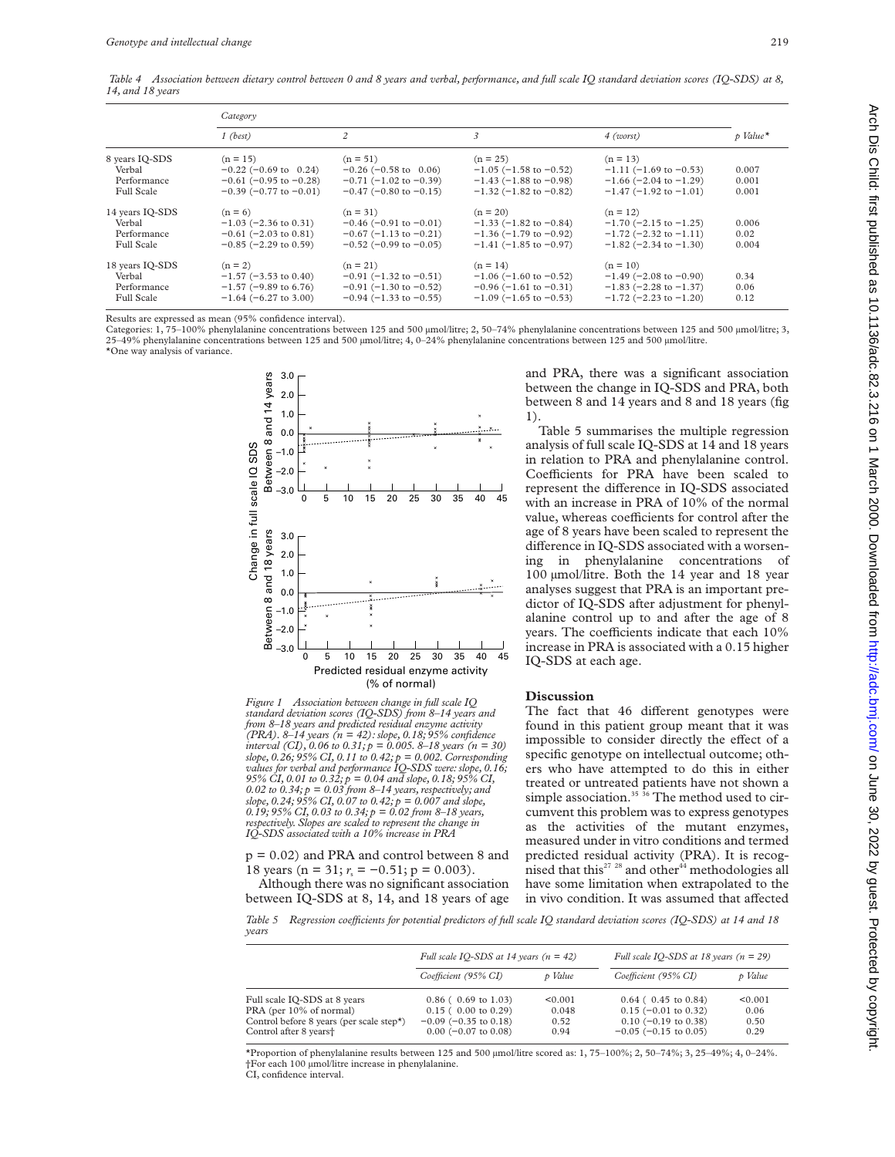*Table 4 Association between dietary control between 0 and 8 years and verbal, performance, and full scale IQ standard deviation scores (IQ-SDS) at 8, 14, and 18 years*

|                                                               | Category                                                                                                  |                                                                                                               |                                                                                                               |                                                                                                               |                         |
|---------------------------------------------------------------|-----------------------------------------------------------------------------------------------------------|---------------------------------------------------------------------------------------------------------------|---------------------------------------------------------------------------------------------------------------|---------------------------------------------------------------------------------------------------------------|-------------------------|
|                                                               | $1$ (best)                                                                                                | $\overline{c}$                                                                                                | 3                                                                                                             | $4$ (worst)                                                                                                   | p Value*                |
| 8 years IQ-SDS<br>Verbal<br>Performance<br><b>Full Scale</b>  | $(n = 15)$<br>$-0.22$ (-0.69 to 0.24)<br>$-0.61$ ( $-0.95$ to $-0.28$ )<br>$-0.39$ ( $-0.77$ to $-0.01$ ) | $(n = 51)$<br>$-0.26$ ( $-0.58$ to 0.06)<br>$-0.71$ ( $-1.02$ to $-0.39$ )<br>$-0.47$ ( $-0.80$ to $-0.15$ )  | $(n = 25)$<br>$-1.05$ ( $-1.58$ to $-0.52$ )<br>$-1.43$ (-1.88 to -0.98)<br>$-1.32$ ( $-1.82$ to $-0.82$ )    | $(n = 13)$<br>$-1.11$ (-1.69 to -0.53)<br>$-1.66$ ( $-2.04$ to $-1.29$ )<br>$-1.47$ ( $-1.92$ to $-1.01$ )    | 0.007<br>0.001<br>0.001 |
| 14 years IQ-SDS<br>Verbal<br>Performance<br><b>Full Scale</b> | $(n = 6)$<br>$-1.03$ ( $-2.36$ to 0.31)<br>$-0.61$ ( $-2.03$ to 0.81)<br>$-0.85$ ( $-2.29$ to 0.59)       | $(n = 31)$<br>$-0.46$ ( $-0.91$ to $-0.01$ )<br>$-0.67$ (-1.13 to $-0.21$ )<br>$-0.52$ ( $-0.99$ to $-0.05$ ) | $(n = 20)$<br>$-1.33$ ( $-1.82$ to $-0.84$ )<br>$-1.36$ ( $-1.79$ to $-0.92$ )<br>$-1.41$ (-1.85 to -0.97)    | $(n = 12)$<br>$-1.70$ ( $-2.15$ to $-1.25$ )<br>$-1.72$ (-2.32 to $-1.11$ )<br>$-1.82$ ( $-2.34$ to $-1.30$ ) | 0.006<br>0.02<br>0.004  |
| 18 years IQ-SDS<br>Verbal<br>Performance<br><b>Full Scale</b> | $(n = 2)$<br>$-1.57$ ( $-3.53$ to 0.40)<br>$-1.57$ (-9.89 to 6.76)<br>$-1.64$ (-6.27 to 3.00)             | $(n = 21)$<br>$-0.91$ ( $-1.32$ to $-0.51$ )<br>$-0.91$ (-1.30 to $-0.52$ )<br>$-0.94$ ( $-1.33$ to $-0.55$ ) | $(n = 14)$<br>$-1.06$ ( $-1.60$ to $-0.52$ )<br>$-0.96$ (-1.61 to $-0.31$ )<br>$-1.09$ ( $-1.65$ to $-0.53$ ) | $(n = 10)$<br>$-1.49$ ( $-2.08$ to $-0.90$ )<br>$-1.83$ ( $-2.28$ to $-1.37$ )<br>$-1.72$ (-2.23 to $-1.20$ ) | 0.34<br>0.06<br>0.12    |

Results are expressed as mean (95% confidence interval).

Categories: 1, 75-100% phenylalanine concentrations between 125 and 500 µmol/litre; 2, 50-74% phenylalanine concentrations between 125 and 500 µmol/litre; 3,  $25-49\%$  phenylalanine concentrations between 125 and 500 µmol/litre; 4, 0–24% phenylalanine concentrations between 125 and 500 µmol/litre. \*One way analysis of variance.



*Figure 1 Association between change in full scale IQ standard deviation scores (IQ-SDS) from 8–14 years and from 8–18 years and predicted residual enzyme activity (PRA). 8–14 years (n = 42): slope, 0.18; 95% confidence interval (CI), 0.06 to 0.31; p = 0.005. 8–18 years (n = 30) slope, 0.26; 95% CI, 0.11 to 0.42; p = 0.002. Corresponding values for verbal and performance IQ-SDS were: slope, 0.16; 95% CI, 0.01 to 0.32; p = 0.04 and slope, 0.18; 95% CI, 0.02 to 0.34; p = 0.03 from 8–14 years, respectively; and slope, 0.24; 95% CI, 0.07 to 0.42; p = 0.007 and slope, 0.19; 95% CI, 0.03 to 0.34; p = 0.02 from 8–18 years, respectively. Slopes are scaled to represent the change in IQ-SDS associated with a 10% increase in PRA*

p = 0.02) and PRA and control between 8 and 18 years (n = 31;  $r_s = -0.51$ ; p = 0.003).

Although there was no significant association between IQ-SDS at 8, 14, and 18 years of age and PRA, there was a significant association between the change in IQ-SDS and PRA, both between 8 and 14 years and 8 and 18 years (fig 1).

Table 5 summarises the multiple regression analysis of full scale IQ-SDS at 14 and 18 years in relation to PRA and phenylalanine control. Coefficients for PRA have been scaled to represent the difference in IQ-SDS associated with an increase in PRA of 10% of the normal value, whereas coefficients for control after the age of 8 years have been scaled to represent the difference in IQ-SDS associated with a worsening in phenylalanine concentrations of 100 µmol/litre. Both the 14 year and 18 year analyses suggest that PRA is an important predictor of IQ-SDS after adjustment for phenylalanine control up to and after the age of 8 years. The coefficients indicate that each 10% increase in PRA is associated with a 0.15 higher IQ-SDS at each age.

#### **Discussion**

The fact that 46 different genotypes were found in this patient group meant that it was impossible to consider directly the effect of a specific genotype on intellectual outcome; others who have attempted to do this in either treated or untreated patients have not shown a simple association.<sup>35</sup> <sup>36</sup> The method used to circumvent this problem was to express genotypes as the activities of the mutant enzymes, measured under in vitro conditions and termed predicted residual activity (PRA). It is recognised that this<sup>27</sup> <sup>28</sup> and other<sup>44</sup> methodologies all have some limitation when extrapolated to the in vivo condition. It was assumed that affected

*Table 5 Regression coeYcients for potential predictors of full scale IQ standard deviation scores (IQ-SDS) at 14 and 18 years*

|                                                                                                                                                                         | Full scale IO-SDS at 14 years $(n = 42)$                                                                   |                                  | Full scale IO-SDS at 18 years ( $n = 29$ )                                                                    |                                 |
|-------------------------------------------------------------------------------------------------------------------------------------------------------------------------|------------------------------------------------------------------------------------------------------------|----------------------------------|---------------------------------------------------------------------------------------------------------------|---------------------------------|
|                                                                                                                                                                         | Coefficient (95% CI)                                                                                       | p Value                          | Coefficient (95% CI)                                                                                          | p Value                         |
| Full scale IQ-SDS at 8 years<br>PRA (per 10% of normal)<br>Control before 8 years (per scale step <sup><math>\star</math></sup> )<br>Control after 8 years <sup>+</sup> | $0.86$ ( $0.69$ to 1.03)<br>$0.15$ ( 0.00 to 0.29)<br>$-0.09$ ( $-0.35$ to 0.18)<br>$0.00$ (-0.07 to 0.08) | < 0.001<br>0.048<br>0.52<br>0.94 | $0.64$ ( $0.45$ to $0.84$ )<br>$0.15$ (-0.01 to 0.32)<br>$0.10$ (-0.19 to 0.38)<br>$-0.05$ ( $-0.15$ to 0.05) | < 0.001<br>0.06<br>0.50<br>0.29 |

\*Proportion of phenylalanine results between 125 and 500 µmol/litre scored as: 1, 75–100%; 2, 50–74%; 3, 25–49%; 4, 0–24%. †For each 100 µmol/litre increase in phenylalanine.

CI, confidence interval.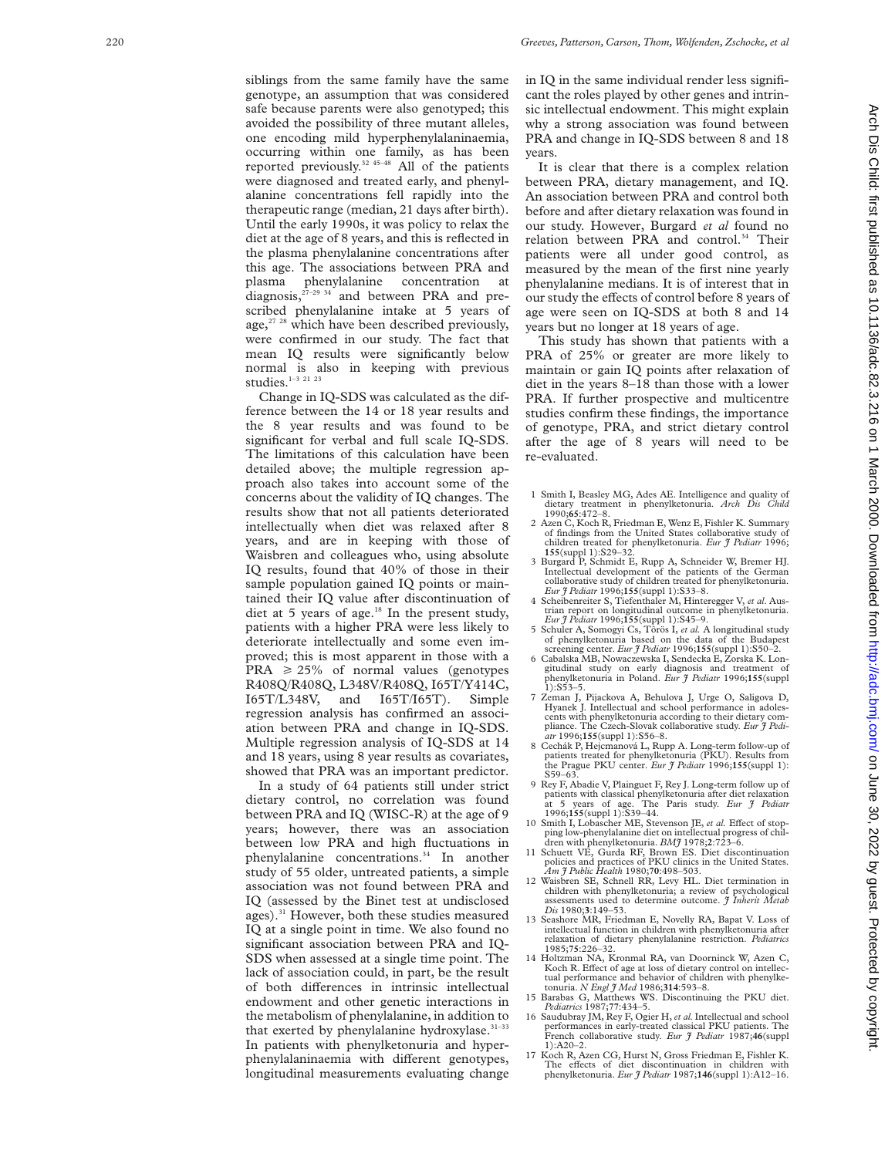siblings from the same family have the same genotype, an assumption that was considered safe because parents were also genotyped; this avoided the possibility of three mutant alleles, one encoding mild hyperphenylalaninaemia, occurring within one family, as has been reported previously.<sup>32 45–48</sup> All of the patients were diagnosed and treated early, and phenylalanine concentrations fell rapidly into the therapeutic range (median, 21 days after birth). Until the early 1990s, it was policy to relax the diet at the age of 8 years, and this is reflected in the plasma phenylalanine concentrations after this age. The associations between PRA and plasma phenylalanine concentration at  $\frac{1}{27-29 \cdot 34}$  and between PRA and prescribed phenylalanine intake at 5 years of age, $27 \times 28$  which have been described previously, were confirmed in our study. The fact that mean IQ results were significantly below normal is also in keeping with previous studies.<sup>1-3 21 23</sup>

Change in IQ-SDS was calculated as the difference between the 14 or 18 year results and the 8 year results and was found to be significant for verbal and full scale IQ-SDS. The limitations of this calculation have been detailed above; the multiple regression approach also takes into account some of the concerns about the validity of IQ changes. The results show that not all patients deteriorated intellectually when diet was relaxed after 8 years, and are in keeping with those of Waisbren and colleagues who, using absolute IQ results, found that 40% of those in their sample population gained IQ points or maintained their IQ value after discontinuation of diet at 5 years of age. $18$  In the present study, patients with a higher PRA were less likely to deteriorate intellectually and some even improved; this is most apparent in those with a  $\text{PRA} \geq 25\%$  of normal values (genotypes R408Q/R408Q, L348V/R408Q, I65T/Y414C, I65T/L348V, and I65T/I65T). Simple regression analysis has confirmed an association between PRA and change in IQ-SDS. Multiple regression analysis of IQ-SDS at 14 and 18 years, using 8 year results as covariates, showed that PRA was an important predictor.

In a study of 64 patients still under strict dietary control, no correlation was found between PRA and IQ (WISC-R) at the age of 9 years; however, there was an association between low PRA and high fluctuations in phenylalanine concentrations.<sup>34</sup> In another study of 55 older, untreated patients, a simple association was not found between PRA and IQ (assessed by the Binet test at undisclosed ages).<sup>31</sup> However, both these studies measured IQ at a single point in time. We also found no significant association between PRA and IQ-SDS when assessed at a single time point. The lack of association could, in part, be the result of both differences in intrinsic intellectual endowment and other genetic interactions in the metabolism of phenylalanine, in addition to that exerted by phenylalanine hydroxylase. $31-33$ In patients with phenylketonuria and hyperphenylalaninaemia with different genotypes, longitudinal measurements evaluating change in IQ in the same individual render less significant the roles played by other genes and intrinsic intellectual endowment. This might explain why a strong association was found between PRA and change in IQ-SDS between 8 and 18 years.

It is clear that there is a complex relation between PRA, dietary management, and IQ. An association between PRA and control both before and after dietary relaxation was found in our study. However, Burgard *et al* found no relation between PRA and control.<sup>34</sup> Their patients were all under good control, as measured by the mean of the first nine yearly phenylalanine medians. It is of interest that in our study the effects of control before 8 years of age were seen on IQ-SDS at both 8 and 14 years but no longer at 18 years of age.

This study has shown that patients with a PRA of 25% or greater are more likely to maintain or gain IQ points after relaxation of diet in the years 8–18 than those with a lower PRA. If further prospective and multicentre studies confirm these findings, the importance of genotype, PRA, and strict dietary control after the age of 8 years will need to be re-evaluated.

- 1 Smith I, Beasley MG, Ades AE. Intelligence and quality of dietary treatment in phenylketonuria. *Arch Dis Child* 1990;**65**:472–8.
- 2 Azen C, Koch R, Friedman E, Wenz E, Fishler K. Summary of findings from the United States collaborative study of children treated for phenylketonuria. *Eur J Pediatr* 1996; **155**(suppl 1):S29–32.
- 3 Burgard P, Schmidt E, Rupp A, Schneider W, Bremer HJ. Intellectual development of the patients of the German collaborative study of children treated for phenylketonuria. *Eur J Pediatr* 1996;**155**(suppl 1):S33–8.
- 4 Scheibenreiter S, Tiefenthaler M, Hinteregger V, *et al*. Austrian report on longitudinal outcome in phenylketonuria. *Eur J Pediatr* 1996;**155**(suppl 1):S45–9.
- 5 Schuler A, Somogyi Cs, Tôrös I, *et al.* A longitudinal study of phenylketonuria based on the data of the Budapest screening center. *Eur J Pediatr* 1996;**155**(suppl 1):S50–2.
- 6 Cabalska MB, Nowaczewska I, Sendecka E, Zorska K. Longitudinal study on early diagnosis and treatment of phenylketonuria in Poland. *Eur J Pediatr* 1996;**155**(suppl 1):S53–5.
- 7 Zeman J, Pijackova A, Behulova J, Urge O, Saligova D, Hyanek J. Intellectual and school performance in adolescents with phenylketonuria according to their dietary compliance. The Czech-Slovak collaborative study. *Eur J Pediatr* 1996;**155**(suppl 1):S56–8.
- 8 Cechák P, Hejcmanová L, Rupp A. Long-term follow-up of patients treated for phenylketonuria (PKU). Results from the Prague PKU center. *Eur J Pediatr* 1996;**155**(suppl 1): S59–63.
- 9 Rey F, Abadie V, Plainguet F, Rey J. Long-term follow up of patients with classical phenylketonuria after diet relaxation at 5 years of age. The Paris study. *Eur J Pediatr* at 5 years of age. The 1996;155(suppl 1):S39-44.
- 10 Smith I, Lobascher ME, Stevenson JE, et al. Effect of stopping low-phenylalanine diet on intellectual progress of chil-
- dren with phenylketonuria. *BMJ* 1978;**2**:723–6. 11 Schuett VE, Gurda RF, Brown ES. Diet discontinuation policies and practices of PKU clinics in the United States. *Am J Public Health* 1980;**70**:498–503.
- 12 Waisbren SE, Schnell RR, Levy HL. Diet termination in children with phenylketonuria; a review of psychological assessments used to determine outcome. *J Inherit Metab Dis* 1980; **3**:149–53.
- 13 Seashore MR, Friedman E, Novelly RA, Bapat V. Loss of intellectual function in children with phenylketonuria after relaxation of dietary phenylalanine restriction. *Pediatrics* 1985;**75**:226–32.
- 14 Holtzman NA, Kronmal RA, van Doorninck W, Azen C, Koch R. Effect of age at loss of dietary control on intellectual performance and behavior of children with phenylketonuria. *N Engl J Med* 1986;**314**:593–8.
- 15 Barabas G, Matthews WS. Discontinuing the PKU diet. *Pediatrics* 1987;**77**:434–5.
- 16 Saudubray JM, Rey F, Ogier H, *et al.*Intellectual and school performances in early-treated classical PKU patients. The French collaborative study. *Eur J Pediatr* 1987;**46**(suppl 1):A20–2.
- 17 Koch R, Azen CG, Hurst N, Gross Friedman E, Fishler K. The effects of diet discontinuation in children with<br>phenylketonuria. *Eur J Pediatr* 1987;**146**(suppl 1):A12–16.